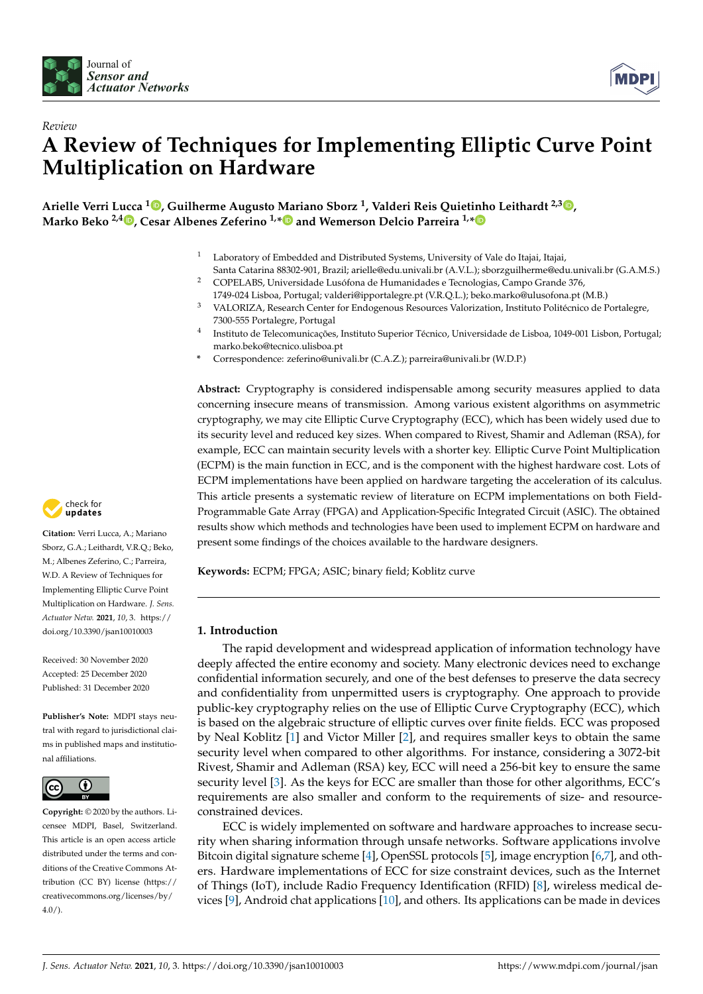



# *Review* **A Review of Techniques for Implementing Elliptic Curve Point Multiplication on Hardware**

**Arielle Verri Lucca <sup>1</sup> [,](https://orcid.org/0000-0001-5854-2521) Guilherme Augusto Mariano Sborz <sup>1</sup> , Valderi Reis Quietinho Leithardt 2,3 [,](https://orcid.org/0000-0003-0446-9271) Marko Beko 2,4 [,](https://orcid.org/0000-0001-7315-8739) Cesar Albenes Zeferino 1,[\\*](https://orcid.org/0000-0003-3039-4410) and Wemerson Delcio Parreira 1,[\\*](https://orcid.org/0000-0003-1896-0520)**

- <sup>1</sup> Laboratory of Embedded and Distributed Systems, University of Vale do Itajai, Itajai,
- Santa Catarina 88302-901, Brazil; arielle@edu.univali.br (A.V.L.); sborzguilherme@edu.univali.br (G.A.M.S.) <sup>2</sup> COPELABS, Universidade Lusófona de Humanidades e Tecnologias, Campo Grande 376,
- 1749-024 Lisboa, Portugal; valderi@ipportalegre.pt (V.R.Q.L.); beko.marko@ulusofona.pt (M.B.) <sup>3</sup> VALORIZA, Research Center for Endogenous Resources Valorization, Instituto Politécnico de Portalegre,
- 7300-555 Portalegre, Portugal 4 Instituto de Telecomunicações, Instituto Superior Técnico, Universidade de Lisboa, 1049-001 Lisbon, Portugal;
	- marko.beko@tecnico.ulisboa.pt
- **\*** Correspondence: zeferino@univali.br (C.A.Z.); parreira@univali.br (W.D.P.)

**Abstract:** Cryptography is considered indispensable among security measures applied to data concerning insecure means of transmission. Among various existent algorithms on asymmetric cryptography, we may cite Elliptic Curve Cryptography (ECC), which has been widely used due to its security level and reduced key sizes. When compared to Rivest, Shamir and Adleman (RSA), for example, ECC can maintain security levels with a shorter key. Elliptic Curve Point Multiplication (ECPM) is the main function in ECC, and is the component with the highest hardware cost. Lots of ECPM implementations have been applied on hardware targeting the acceleration of its calculus. This article presents a systematic review of literature on ECPM implementations on both Field-Programmable Gate Array (FPGA) and Application-Specific Integrated Circuit (ASIC). The obtained results show which methods and technologies have been used to implement ECPM on hardware and present some findings of the choices available to the hardware designers.

**Keywords:** ECPM; FPGA; ASIC; binary field; Koblitz curve

# **1. Introduction**

The rapid development and widespread application of information technology have deeply affected the entire economy and society. Many electronic devices need to exchange confidential information securely, and one of the best defenses to preserve the data secrecy and confidentiality from unpermitted users is cryptography. One approach to provide public-key cryptography relies on the use of Elliptic Curve Cryptography (ECC), which is based on the algebraic structure of elliptic curves over finite fields. ECC was proposed by Neal Koblitz [\[1\]](#page-14-0) and Victor Miller [\[2\]](#page-14-1), and requires smaller keys to obtain the same security level when compared to other algorithms. For instance, considering a 3072-bit Rivest, Shamir and Adleman (RSA) key, ECC will need a 256-bit key to ensure the same security level [\[3\]](#page-14-2). As the keys for ECC are smaller than those for other algorithms, ECC's requirements are also smaller and conform to the requirements of size- and resourceconstrained devices.

ECC is widely implemented on software and hardware approaches to increase security when sharing information through unsafe networks. Software applications involve Bitcoin digital signature scheme [\[4\]](#page-14-3), OpenSSL protocols [\[5\]](#page-14-4), image encryption [\[6](#page-14-5)[,7\]](#page-15-0), and others. Hardware implementations of ECC for size constraint devices, such as the Internet of Things (IoT), include Radio Frequency Identification (RFID) [\[8\]](#page-15-1), wireless medical devices [\[9\]](#page-15-2), Android chat applications [\[10\]](#page-15-3), and others. Its applications can be made in devices



**Citation:** Verri Lucca, A.; Mariano Sborz, G.A.; Leithardt, V.R.Q.; Beko, M.; Albenes Zeferino, C.; Parreira, W.D. A Review of Techniques for Implementing Elliptic Curve Point Multiplication on Hardware. *J. Sens. Actuator Netw.* **2021**, *10*, 3. [https://](https://doi.org/10.3390/jsan10010003) [doi.org/10.3390/jsan10010003](https://doi.org/10.3390/jsan10010003)

Received: 30 November 2020 Accepted: 25 December 2020 Published: 31 December 2020

**Publisher's Note:** MDPI stays neutral with regard to jurisdictional claims in published maps and institutional affiliations.



**Copyright:** © 2020 by the authors. Licensee MDPI, Basel, Switzerland. This article is an open access article distributed under the terms and conditions of the Creative Commons Attribution (CC BY) license [\(https://](https://creativecommons.org/licenses/by/4.0/) [creativecommons.org/licenses/by/](https://creativecommons.org/licenses/by/4.0/) [4.0/\)](https://creativecommons.org/licenses/by/4.0/).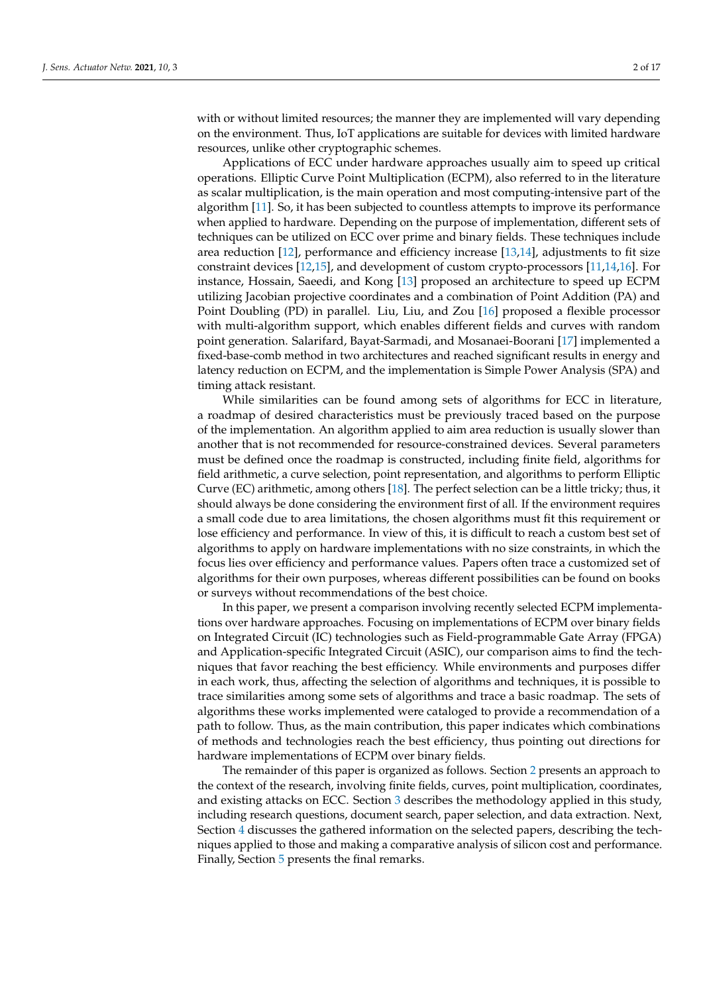with or without limited resources; the manner they are implemented will vary depending on the environment. Thus, IoT applications are suitable for devices with limited hardware resources, unlike other cryptographic schemes.

Applications of ECC under hardware approaches usually aim to speed up critical operations. Elliptic Curve Point Multiplication (ECPM), also referred to in the literature as scalar multiplication, is the main operation and most computing-intensive part of the algorithm [\[11\]](#page-15-4). So, it has been subjected to countless attempts to improve its performance when applied to hardware. Depending on the purpose of implementation, different sets of techniques can be utilized on ECC over prime and binary fields. These techniques include area reduction [\[12\]](#page-15-5), performance and efficiency increase [\[13](#page-15-6)[,14\]](#page-15-7), adjustments to fit size constraint devices [\[12,](#page-15-5)[15\]](#page-15-8), and development of custom crypto-processors [\[11](#page-15-4)[,14](#page-15-7)[,16\]](#page-15-9). For instance, Hossain, Saeedi, and Kong [\[13\]](#page-15-6) proposed an architecture to speed up ECPM utilizing Jacobian projective coordinates and a combination of Point Addition (PA) and Point Doubling (PD) in parallel. Liu, Liu, and Zou [\[16\]](#page-15-9) proposed a flexible processor with multi-algorithm support, which enables different fields and curves with random point generation. Salarifard, Bayat-Sarmadi, and Mosanaei-Boorani [\[17\]](#page-15-10) implemented a fixed-base-comb method in two architectures and reached significant results in energy and latency reduction on ECPM, and the implementation is Simple Power Analysis (SPA) and timing attack resistant.

While similarities can be found among sets of algorithms for ECC in literature, a roadmap of desired characteristics must be previously traced based on the purpose of the implementation. An algorithm applied to aim area reduction is usually slower than another that is not recommended for resource-constrained devices. Several parameters must be defined once the roadmap is constructed, including finite field, algorithms for field arithmetic, a curve selection, point representation, and algorithms to perform Elliptic Curve (EC) arithmetic, among others [\[18\]](#page-15-11). The perfect selection can be a little tricky; thus, it should always be done considering the environment first of all. If the environment requires a small code due to area limitations, the chosen algorithms must fit this requirement or lose efficiency and performance. In view of this, it is difficult to reach a custom best set of algorithms to apply on hardware implementations with no size constraints, in which the focus lies over efficiency and performance values. Papers often trace a customized set of algorithms for their own purposes, whereas different possibilities can be found on books or surveys without recommendations of the best choice.

In this paper, we present a comparison involving recently selected ECPM implementations over hardware approaches. Focusing on implementations of ECPM over binary fields on Integrated Circuit (IC) technologies such as Field-programmable Gate Array (FPGA) and Application-specific Integrated Circuit (ASIC), our comparison aims to find the techniques that favor reaching the best efficiency. While environments and purposes differ in each work, thus, affecting the selection of algorithms and techniques, it is possible to trace similarities among some sets of algorithms and trace a basic roadmap. The sets of algorithms these works implemented were cataloged to provide a recommendation of a path to follow. Thus, as the main contribution, this paper indicates which combinations of methods and technologies reach the best efficiency, thus pointing out directions for hardware implementations of ECPM over binary fields.

The remainder of this paper is organized as follows. Section [2](#page-2-0) presents an approach to the context of the research, involving finite fields, curves, point multiplication, coordinates, and existing attacks on ECC. Section [3](#page-6-0) describes the methodology applied in this study, including research questions, document search, paper selection, and data extraction. Next, Section [4](#page-7-0) discusses the gathered information on the selected papers, describing the techniques applied to those and making a comparative analysis of silicon cost and performance. Finally, Section [5](#page-13-0) presents the final remarks.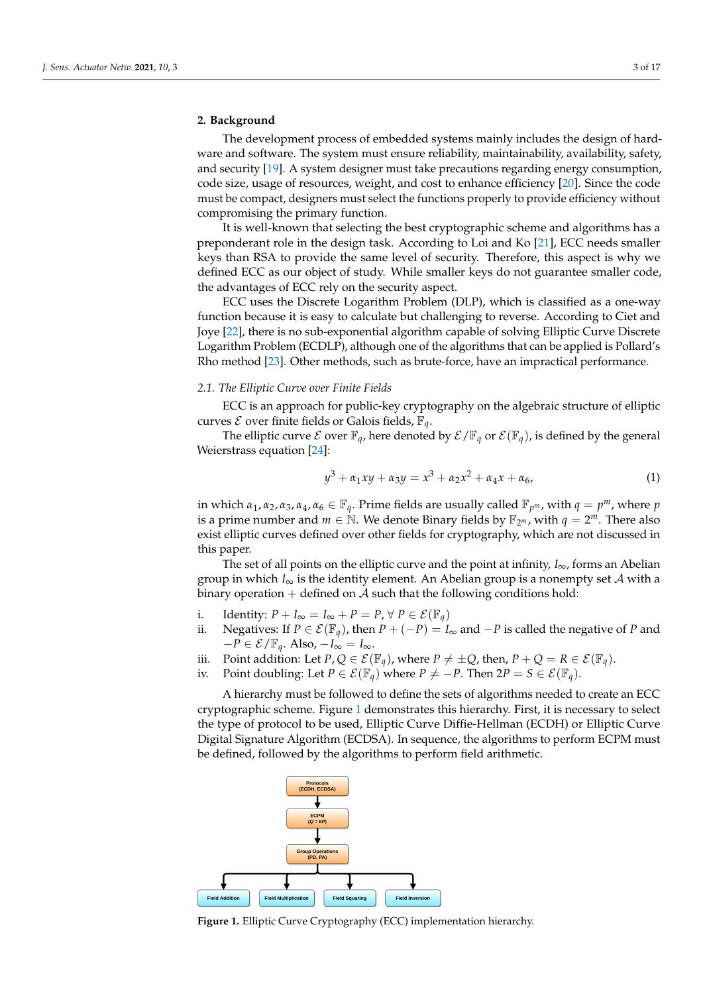# <span id="page-2-0"></span>**2. Background**

The development process of embedded systems mainly includes the design of hardware and software. The system must ensure reliability, maintainability, availability, safety, and security [\[19\]](#page-15-12). A system designer must take precautions regarding energy consumption, code size, usage of resources, weight, and cost to enhance efficiency [\[20\]](#page-15-13). Since the code must be compact, designers must select the functions properly to provide efficiency without compromising the primary function.

It is well-known that selecting the best cryptographic scheme and algorithms has a preponderant role in the design task. According to Loi and Ko [\[21\]](#page-15-14), ECC needs smaller keys than RSA to provide the same level of security. Therefore, this aspect is why we defined ECC as our object of study. While smaller keys do not guarantee smaller code, the advantages of ECC rely on the security aspect.

ECC uses the Discrete Logarithm Problem (DLP), which is classified as a one-way function because it is easy to calculate but challenging to reverse. According to Ciet and Joye [\[22\]](#page-15-15), there is no sub-exponential algorithm capable of solving Elliptic Curve Discrete Logarithm Problem (ECDLP), although one of the algorithms that can be applied is Pollard's Rho method [\[23\]](#page-15-16). Other methods, such as brute-force, have an impractical performance.

#### <span id="page-2-3"></span>*2.1. The Elliptic Curve over Finite Fields*

ECC is an approach for public-key cryptography on the algebraic structure of elliptic curves  $\mathcal E$  over finite fields or Galois fields,  $\mathbb F_q$ .

The elliptic curve  $\mathcal E$  over  $\mathbb F_q$ , here denoted by  $\mathcal E/\mathbb F_q$  or  $\mathcal E(\mathbb F_q)$ , is defined by the general Weierstrass equation [\[24\]](#page-15-17):

<span id="page-2-2"></span>
$$
y^3 + \alpha_1 xy + \alpha_3 y = x^3 + \alpha_2 x^2 + \alpha_4 x + \alpha_6, \tag{1}
$$

in which  $\alpha_1, \alpha_2, \alpha_3, \alpha_4, \alpha_6 \in \mathbb{F}_q$ . Prime fields are usually called  $\mathbb{F}_{p^m}$ , with  $q = p^m$ , where  $p$ is a prime number and  $m \in \mathbb{N}$ . We denote Binary fields by  $\mathbb{F}_{2^m}$ , with  $q = 2^m$ . There also exist elliptic curves defined over other fields for cryptography, which are not discussed in this paper.

The set of all points on the elliptic curve and the point at infinity,  $I_{\infty}$ , forms an Abelian group in which  $I_{\infty}$  is the identity element. An Abelian group is a nonempty set A with a binary operation  $+$  defined on  $A$  such that the following conditions hold:

- i. Identity:  $P + I_{\infty} = I_{\infty} + P = P, \forall P \in \mathcal{E}(\mathbb{F}_q)$
- ii. Negatives: If *P* ∈  $\mathcal{E}(\mathbb{F}_q)$ , then *P* + (−*P*) = *I*<sub>∞</sub> and −*P* is called the negative of *P* and  $-P \in \mathcal{E}/\mathbb{F}_q$ . Also,  $-I_\infty = I_\infty$ .
- iii. Point addition: Let  $P$ ,  $Q \in \mathcal{E}(\mathbb{F}_q)$ , where  $P \neq \pm Q$ , then,  $P + Q = R \in \mathcal{E}(\mathbb{F}_q)$ .
- iv. Point doubling: Let  $P \in \mathcal{E}(\mathbb{F}_q)$  where  $P \neq -P$ . Then  $2P = S \in \mathcal{E}(\mathbb{F}_q)$ .

A hierarchy must be followed to define the sets of algorithms needed to create an ECC cryptographic scheme. Figure [1](#page-2-1) demonstrates this hierarchy. First, it is necessary to select the type of protocol to be used, Elliptic Curve Diffie-Hellman (ECDH) or Elliptic Curve Digital Signature Algorithm (ECDSA). In sequence, the algorithms to perform ECPM must be defined, followed by the algorithms to perform field arithmetic.

<span id="page-2-1"></span>

**Figure 1.** Elliptic Curve Cryptography (ECC) implementation hierarchy.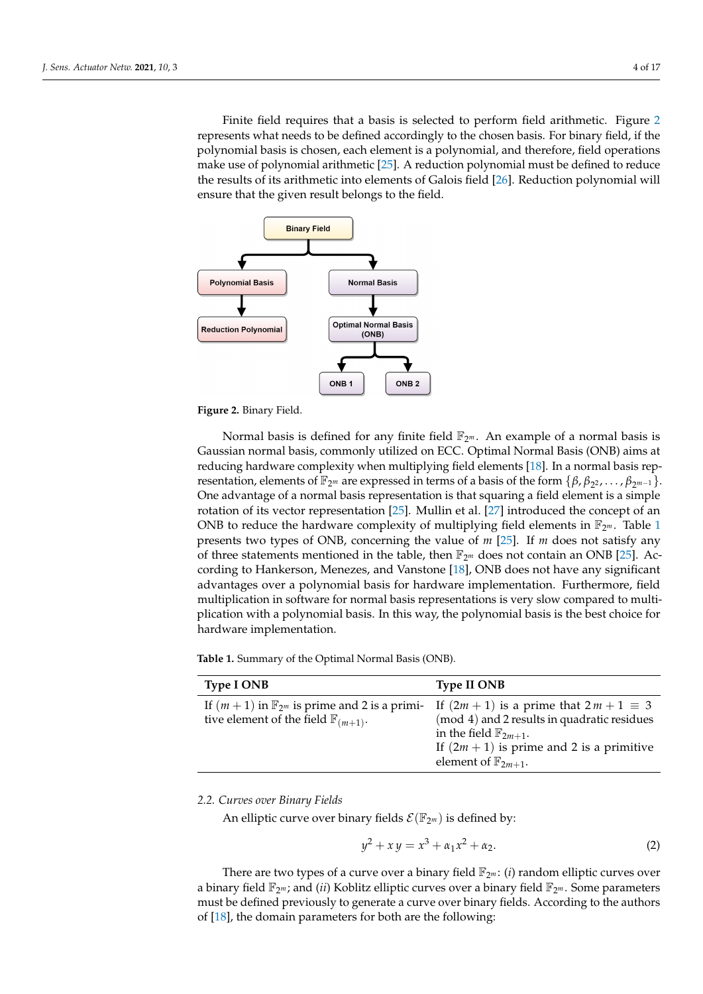Finite field requires that a basis is selected to perform field arithmetic. Figure [2](#page-3-0) represents what needs to be defined accordingly to the chosen basis. For binary field, if the polynomial basis is chosen, each element is a polynomial, and therefore, field operations make use of polynomial arithmetic [\[25\]](#page-15-18). A reduction polynomial must be defined to reduce the results of its arithmetic into elements of Galois field [\[26\]](#page-15-19). Reduction polynomial will ensure that the given result belongs to the field.

<span id="page-3-0"></span>

**Figure 2.** Binary Field.

Normal basis is defined for any finite field  $\mathbb{F}_{2^m}$ . An example of a normal basis is Gaussian normal basis, commonly utilized on ECC. Optimal Normal Basis (ONB) aims at reducing hardware complexity when multiplying field elements [\[18\]](#page-15-11). In a normal basis representation, elements of  $\mathbb{F}_{2^m}$  are expressed in terms of a basis of the form  $\{\beta, \beta_{2^2}, \ldots, \beta_{2^{m-1}}\}$ . One advantage of a normal basis representation is that squaring a field element is a simple rotation of its vector representation [\[25\]](#page-15-18). Mullin et al. [\[27\]](#page-15-20) introduced the concept of an ONB to reduce the hardware complexity of multiplying field elements in  $\mathbb{F}_{2^m}$ . Table [1](#page-3-1) presents two types of ONB, concerning the value of *m* [\[25\]](#page-15-18). If *m* does not satisfy any of three statements mentioned in the table, then  $\mathbb{F}_{2^m}$  does not contain an ONB [\[25\]](#page-15-18). According to Hankerson, Menezes, and Vanstone [\[18\]](#page-15-11), ONB does not have any significant advantages over a polynomial basis for hardware implementation. Furthermore, field multiplication in software for normal basis representations is very slow compared to multiplication with a polynomial basis. In this way, the polynomial basis is the best choice for hardware implementation.

<span id="page-3-1"></span>**Table 1.** Summary of the Optimal Normal Basis (ONB).

| <b>Type I ONB</b>                                                                                               | <b>Type II ONB</b>                                                                                                                                                                                                      |
|-----------------------------------------------------------------------------------------------------------------|-------------------------------------------------------------------------------------------------------------------------------------------------------------------------------------------------------------------------|
| If $(m+1)$ in $\mathbb{F}_{2^m}$ is prime and 2 is a primi-<br>tive element of the field $\mathbb{F}_{(m+1)}$ . | If $(2m + 1)$ is a prime that $2m + 1 \equiv 3$<br>(mod 4) and 2 results in quadratic residues<br>in the field $\mathbb{F}_{2m+1}$ .<br>If $(2m + 1)$ is prime and 2 is a primitive<br>element of $\mathbb{F}_{2m+1}$ . |

*2.2. Curves over Binary Fields*

An elliptic curve over binary fields  $\mathcal{E}(\mathbb{F}_{2^m})$  is defined by:

<span id="page-3-2"></span>
$$
y^2 + xy = x^3 + \alpha_1 x^2 + \alpha_2. \tag{2}
$$

There are two types of a curve over a binary field  $\mathbb{F}_{2^m}$ : (*i*) random elliptic curves over a binary field  $\mathbb{F}_{2^m}$ ; and *(ii)* Koblitz elliptic curves over a binary field  $\mathbb{F}_{2^m}$ . Some parameters must be defined previously to generate a curve over binary fields. According to the authors of [\[18\]](#page-15-11), the domain parameters for both are the following: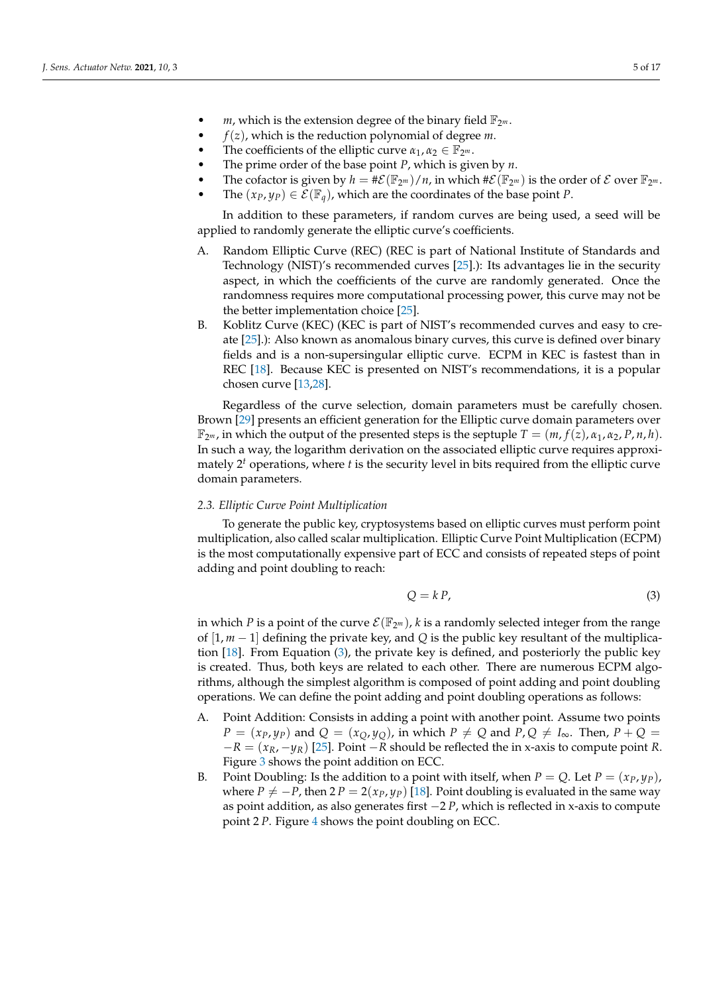- *m*, which is the extension degree of the binary field  $\mathbb{F}_{2^m}$ .
- $f(z)$ , which is the reduction polynomial of degree *m*.
- The coefficients of the elliptic curve  $\alpha_1, \alpha_2 \in \mathbb{F}_{2^m}$ .
- The prime order of the base point *P*, which is given by *n*.
- The cofactor is given by  $h = \#\mathcal{E}(\mathbb{F}_{2^m})/n$ , in which  $\#\mathcal{E}(\mathbb{F}_{2^m})$  is the order of  $\mathcal E$  over  $\mathbb{F}_{2^m}$ .
	- The  $(x_P, y_P) \in \mathcal{E}(\mathbb{F}_q)$ , which are the coordinates of the base point *P*.

In addition to these parameters, if random curves are being used, a seed will be applied to randomly generate the elliptic curve's coefficients.

- A. Random Elliptic Curve (REC) (REC is part of National Institute of Standards and Technology (NIST)'s recommended curves [\[25\]](#page-15-18).): Its advantages lie in the security aspect, in which the coefficients of the curve are randomly generated. Once the randomness requires more computational processing power, this curve may not be the better implementation choice [\[25\]](#page-15-18).
- B. Koblitz Curve (KEC) (KEC is part of NIST's recommended curves and easy to create [\[25\]](#page-15-18).): Also known as anomalous binary curves, this curve is defined over binary fields and is a non-supersingular elliptic curve. ECPM in KEC is fastest than in REC [\[18\]](#page-15-11). Because KEC is presented on NIST's recommendations, it is a popular chosen curve [\[13](#page-15-6)[,28\]](#page-15-21).

Regardless of the curve selection, domain parameters must be carefully chosen. Brown [\[29\]](#page-15-22) presents an efficient generation for the Elliptic curve domain parameters over  $\mathbb{F}_{2^m}$ , in which the output of the presented steps is the septuple  $T = (m, f(z), \alpha_1, \alpha_2, P, n, h)$ . In such a way, the logarithm derivation on the associated elliptic curve requires approximately 2 *<sup>t</sup>* operations, where *t* is the security level in bits required from the elliptic curve domain parameters.

#### *2.3. Elliptic Curve Point Multiplication*

To generate the public key, cryptosystems based on elliptic curves must perform point multiplication, also called scalar multiplication. Elliptic Curve Point Multiplication (ECPM) is the most computationally expensive part of ECC and consists of repeated steps of point adding and point doubling to reach:

<span id="page-4-0"></span>
$$
Q = k P, \tag{3}
$$

in which *P* is a point of the curve  $\mathcal{E}(\mathbb{F}_{2^m})$ , *k* is a randomly selected integer from the range of [1, *m* − 1] defining the private key, and *Q* is the public key resultant of the multiplication [\[18\]](#page-15-11). From Equation [\(3\)](#page-4-0), the private key is defined, and posteriorly the public key is created. Thus, both keys are related to each other. There are numerous ECPM algorithms, although the simplest algorithm is composed of point adding and point doubling operations. We can define the point adding and point doubling operations as follows:

- A. Point Addition: Consists in adding a point with another point. Assume two points  $P = (x_P, y_P)$  and  $Q = (x_Q, y_Q)$ , in which  $P \neq Q$  and  $P, Q \neq I_{\infty}$ . Then,  $P + Q =$ −*R* = (*xR*, −*yR*) [\[25\]](#page-15-18). Point −*R* should be reflected the in x-axis to compute point *R*. Figure [3](#page-5-0) shows the point addition on ECC.
- B. Point Doubling: Is the addition to a point with itself, when  $P = Q$ . Let  $P = (x_P, y_P)$ , where  $P \neq -P$ , then  $2 P = 2(x_P, y_P)$  [\[18\]](#page-15-11). Point doubling is evaluated in the same way as point addition, as also generates first −2 *P*, which is reflected in x-axis to compute point 2 *P*. Figure [4](#page-5-1) shows the point doubling on ECC.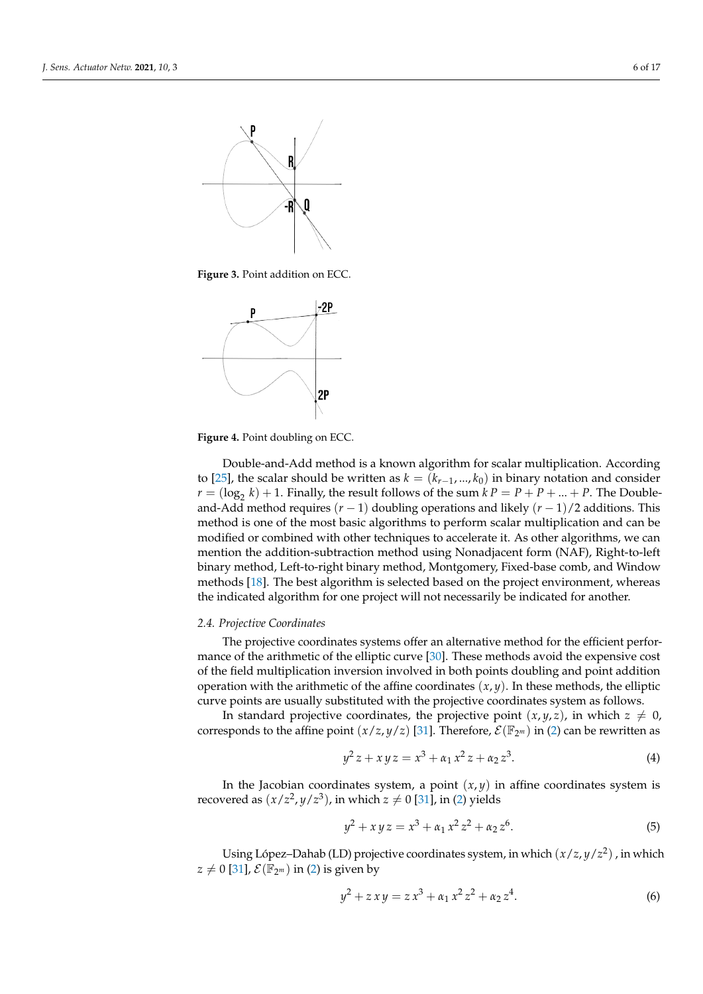<span id="page-5-0"></span>

**Figure 3.** Point addition on ECC.

<span id="page-5-1"></span>

**Figure 4.** Point doubling on ECC.

Double-and-Add method is a known algorithm for scalar multiplication. According to [\[25\]](#page-15-18), the scalar should be written as  $k = (k_{r-1}, ..., k_0)$  in binary notation and consider  $r = (\log_2 k) + 1$ . Finally, the result follows of the sum  $kP = P + P + ... + P$ . The Doubleand-Add method requires (*r* − 1) doubling operations and likely (*r* − 1)/2 additions. This method is one of the most basic algorithms to perform scalar multiplication and can be modified or combined with other techniques to accelerate it. As other algorithms, we can mention the addition-subtraction method using Nonadjacent form (NAF), Right-to-left binary method, Left-to-right binary method, Montgomery, Fixed-base comb, and Window methods [\[18\]](#page-15-11). The best algorithm is selected based on the project environment, whereas the indicated algorithm for one project will not necessarily be indicated for another.

## <span id="page-5-2"></span>*2.4. Projective Coordinates*

The projective coordinates systems offer an alternative method for the efficient performance of the arithmetic of the elliptic curve [\[30\]](#page-15-23). These methods avoid the expensive cost of the field multiplication inversion involved in both points doubling and point addition operation with the arithmetic of the affine coordinates  $(x, y)$ . In these methods, the elliptic curve points are usually substituted with the projective coordinates system as follows.

In standard projective coordinates, the projective point  $(x, y, z)$ , in which  $z \neq 0$ , corresponds to the affine point  $(x/z, y/z)$  [\[31\]](#page-15-24). Therefore,  $\mathcal{E}(\mathbb{F}_{2^m})$  in [\(2\)](#page-3-2) can be rewritten as

$$
y^2 z + x y z = x^3 + \alpha_1 x^2 z + \alpha_2 z^3. \tag{4}
$$

In the Jacobian coordinates system, a point  $(x, y)$  in affine coordinates system is recovered as  $(x/z^2, y/z^3)$ , in which  $z \neq 0$  [\[31\]](#page-15-24), in [\(2\)](#page-3-2) yields

$$
y^2 + xyz = x^3 + \alpha_1 x^2 z^2 + \alpha_2 z^6.
$$
 (5)

Using López–Dahab (LD) projective coordinates system, in which (*x*/*z*, *y*/*z* 2 ) , in which  $z \neq 0$  [\[31\]](#page-15-24),  $\mathcal{E}(\mathbb{F}_{2^m})$  in [\(2\)](#page-3-2) is given by

$$
y^2 + z x y = z x^3 + \alpha_1 x^2 z^2 + \alpha_2 z^4. \tag{6}
$$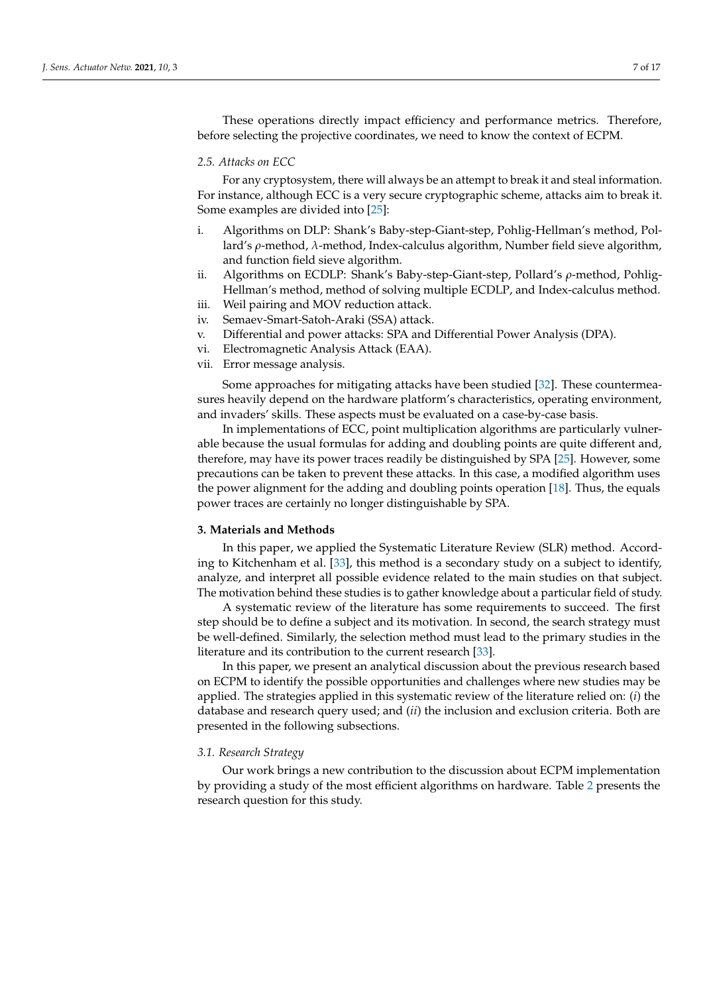These operations directly impact efficiency and performance metrics. Therefore, before selecting the projective coordinates, we need to know the context of ECPM.

# *2.5. Attacks on ECC*

For any cryptosystem, there will always be an attempt to break it and steal information. For instance, although ECC is a very secure cryptographic scheme, attacks aim to break it. Some examples are divided into [\[25\]](#page-15-18):

- i. Algorithms on DLP: Shank's Baby-step-Giant-step, Pohlig-Hellman's method, Pollard's *ρ*-method, *λ*-method, Index-calculus algorithm, Number field sieve algorithm, and function field sieve algorithm.
- ii. Algorithms on ECDLP: Shank's Baby-step-Giant-step, Pollard's *ρ*-method, Pohlig-Hellman's method, method of solving multiple ECDLP, and Index-calculus method.
- iii. Weil pairing and MOV reduction attack. iv. Semaev-Smart-Satoh-Araki (SSA) attack.
- v. Differential and power attacks: SPA and Differential Power Analysis (DPA).
- vi. Electromagnetic Analysis Attack (EAA).
- vii. Error message analysis.

Some approaches for mitigating attacks have been studied [\[32\]](#page-15-25). These countermeasures heavily depend on the hardware platform's characteristics, operating environment, and invaders' skills. These aspects must be evaluated on a case-by-case basis.

In implementations of ECC, point multiplication algorithms are particularly vulnerable because the usual formulas for adding and doubling points are quite different and, therefore, may have its power traces readily be distinguished by SPA [\[25\]](#page-15-18). However, some precautions can be taken to prevent these attacks. In this case, a modified algorithm uses the power alignment for the adding and doubling points operation [\[18\]](#page-15-11). Thus, the equals power traces are certainly no longer distinguishable by SPA.

## <span id="page-6-0"></span>**3. Materials and Methods**

In this paper, we applied the Systematic Literature Review (SLR) method. According to Kitchenham et al. [\[33\]](#page-15-26), this method is a secondary study on a subject to identify, analyze, and interpret all possible evidence related to the main studies on that subject. The motivation behind these studies is to gather knowledge about a particular field of study.

A systematic review of the literature has some requirements to succeed. The first step should be to define a subject and its motivation. In second, the search strategy must be well-defined. Similarly, the selection method must lead to the primary studies in the literature and its contribution to the current research [\[33\]](#page-15-26).

In this paper, we present an analytical discussion about the previous research based on ECPM to identify the possible opportunities and challenges where new studies may be applied. The strategies applied in this systematic review of the literature relied on: (*i*) the database and research query used; and (*ii*) the inclusion and exclusion criteria. Both are presented in the following subsections.

#### *3.1. Research Strategy*

Our work brings a new contribution to the discussion about ECPM implementation by providing a study of the most efficient algorithms on hardware. Table [2](#page-7-1) presents the research question for this study.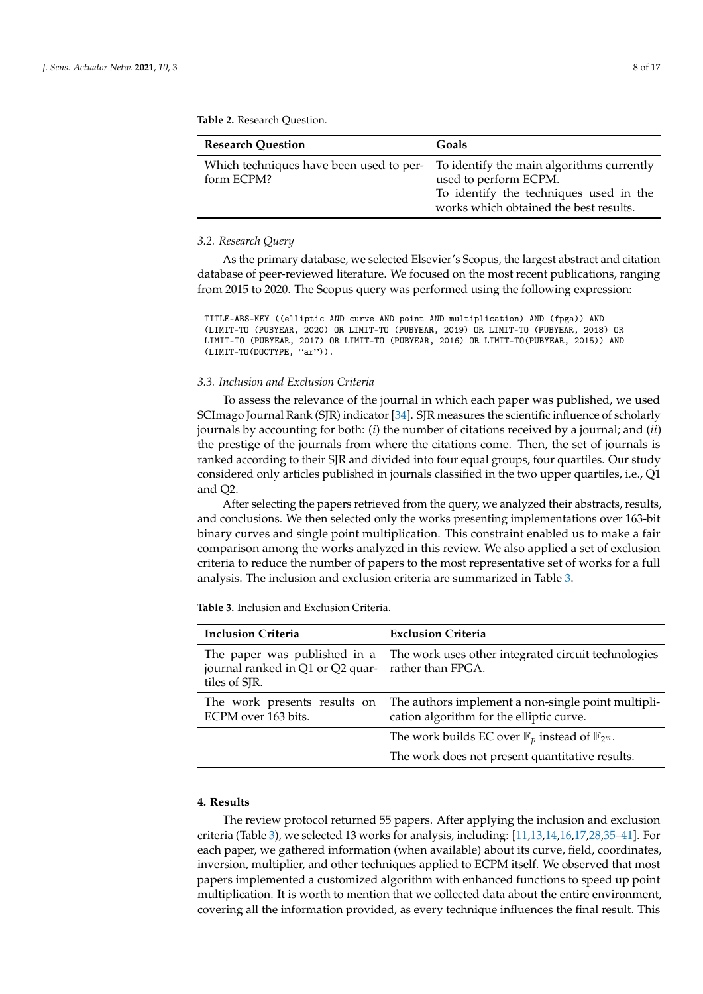| <b>Research Question</b> | Goals                                                                                                                                                                                          |
|--------------------------|------------------------------------------------------------------------------------------------------------------------------------------------------------------------------------------------|
| form ECPM?               | Which techniques have been used to per- To identify the main algorithms currently<br>used to perform ECPM.<br>To identify the techniques used in the<br>works which obtained the best results. |

#### <span id="page-7-1"></span>**Table 2.** Research Question.

#### *3.2. Research Query*

As the primary database, we selected Elsevier's Scopus, the largest abstract and citation database of peer-reviewed literature. We focused on the most recent publications, ranging from 2015 to 2020. The Scopus query was performed using the following expression:

TITLE-ABS-KEY ((elliptic AND curve AND point AND multiplication) AND (fpga)) AND (LIMIT-TO (PUBYEAR, 2020) OR LIMIT-TO (PUBYEAR, 2019) OR LIMIT-TO (PUBYEAR, 2018) OR LIMIT-TO (PUBYEAR, 2017) OR LIMIT-TO (PUBYEAR, 2016) OR LIMIT-TO(PUBYEAR, 2015)) AND  $(LIMIT-TO(DOCTYPE, 'ar'))$ .

# *3.3. Inclusion and Exclusion Criteria*

To assess the relevance of the journal in which each paper was published, we used SCImago Journal Rank (SJR) indicator [\[34\]](#page-15-27). SJR measures the scientific influence of scholarly journals by accounting for both: (*i*) the number of citations received by a journal; and (*ii*) the prestige of the journals from where the citations come. Then, the set of journals is ranked according to their SJR and divided into four equal groups, four quartiles. Our study considered only articles published in journals classified in the two upper quartiles, i.e., Q1 and Q2.

After selecting the papers retrieved from the query, we analyzed their abstracts, results, and conclusions. We then selected only the works presenting implementations over 163-bit binary curves and single point multiplication. This constraint enabled us to make a fair comparison among the works analyzed in this review. We also applied a set of exclusion criteria to reduce the number of papers to the most representative set of works for a full analysis. The inclusion and exclusion criteria are summarized in Table [3.](#page-7-2)

<span id="page-7-2"></span>**Table 3.** Inclusion and Exclusion Criteria.

| <b>Inclusion Criteria</b>                                                         | <b>Exclusion Criteria</b>                                                                      |
|-----------------------------------------------------------------------------------|------------------------------------------------------------------------------------------------|
| The paper was published in a<br>journal ranked in Q1 or Q2 quar-<br>tiles of SJR. | The work uses other integrated circuit technologies<br>rather than FPGA.                       |
| The work presents results on<br>ECPM over 163 bits.                               | The authors implement a non-single point multipli-<br>cation algorithm for the elliptic curve. |
|                                                                                   | The work builds EC over $\mathbb{F}_p$ instead of $\mathbb{F}_{2^m}$ .                         |
|                                                                                   | The work does not present quantitative results.                                                |

## <span id="page-7-0"></span>**4. Results**

The review protocol returned 55 papers. After applying the inclusion and exclusion criteria (Table [3\)](#page-7-2), we selected 13 works for analysis, including: [\[11](#page-15-4)[,13](#page-15-6)[,14,](#page-15-7)[16,](#page-15-9)[17,](#page-15-10)[28](#page-15-21)[,35](#page-15-28)[–41\]](#page-16-0). For each paper, we gathered information (when available) about its curve, field, coordinates, inversion, multiplier, and other techniques applied to ECPM itself. We observed that most papers implemented a customized algorithm with enhanced functions to speed up point multiplication. It is worth to mention that we collected data about the entire environment, covering all the information provided, as every technique influences the final result. This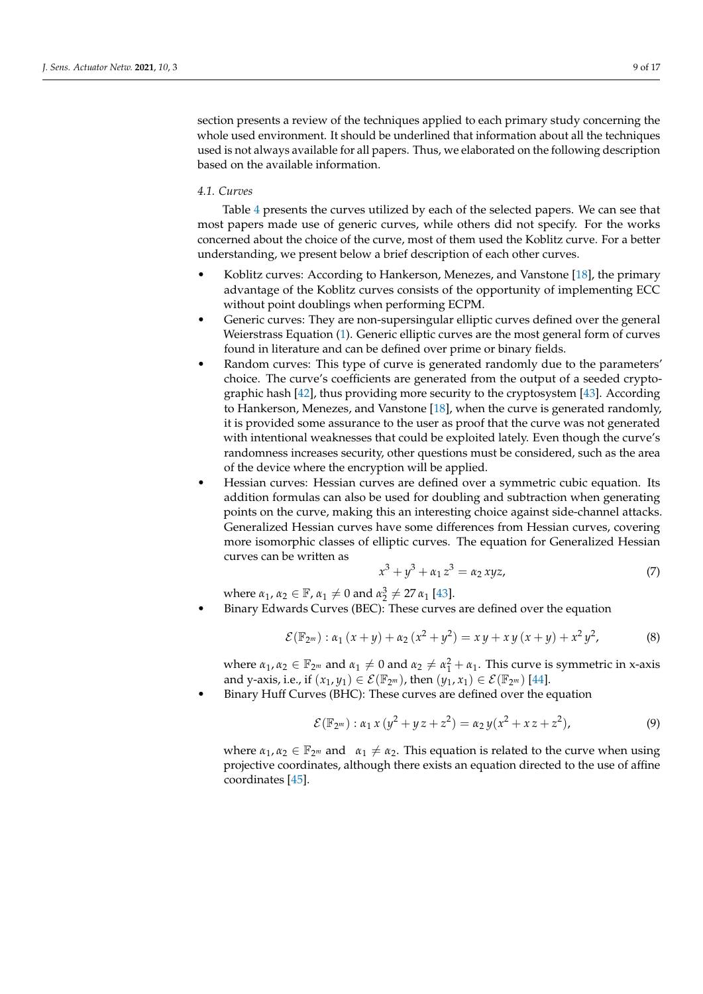section presents a review of the techniques applied to each primary study concerning the whole used environment. It should be underlined that information about all the techniques used is not always available for all papers. Thus, we elaborated on the following description based on the available information.

# *4.1. Curves*

Table [4](#page-9-0) presents the curves utilized by each of the selected papers. We can see that most papers made use of generic curves, while others did not specify. For the works concerned about the choice of the curve, most of them used the Koblitz curve. For a better understanding, we present below a brief description of each other curves.

- Koblitz curves: According to Hankerson, Menezes, and Vanstone [\[18\]](#page-15-11), the primary advantage of the Koblitz curves consists of the opportunity of implementing ECC without point doublings when performing ECPM.
- Generic curves: They are non-supersingular elliptic curves defined over the general Weierstrass Equation [\(1\)](#page-2-2). Generic elliptic curves are the most general form of curves found in literature and can be defined over prime or binary fields.
- Random curves: This type of curve is generated randomly due to the parameters' choice. The curve's coefficients are generated from the output of a seeded cryptographic hash [\[42\]](#page-16-1), thus providing more security to the cryptosystem [\[43\]](#page-16-2). According to Hankerson, Menezes, and Vanstone [\[18\]](#page-15-11), when the curve is generated randomly, it is provided some assurance to the user as proof that the curve was not generated with intentional weaknesses that could be exploited lately. Even though the curve's randomness increases security, other questions must be considered, such as the area of the device where the encryption will be applied.
- Hessian curves: Hessian curves are defined over a symmetric cubic equation. Its addition formulas can also be used for doubling and subtraction when generating points on the curve, making this an interesting choice against side-channel attacks. Generalized Hessian curves have some differences from Hessian curves, covering more isomorphic classes of elliptic curves. The equation for Generalized Hessian curves can be written as

$$
x^3 + y^3 + \alpha_1 z^3 = \alpha_2 xyz,
$$
 (7)

where  $\alpha_1, \alpha_2 \in \mathbb{F}$ ,  $\alpha_1 \neq 0$  and  $\alpha_2^3 \neq 27 \alpha_1$  [\[43\]](#page-16-2).

• Binary Edwards Curves (BEC): These curves are defined over the equation

$$
\mathcal{E}(\mathbb{F}_{2^m}) : \alpha_1(x+y) + \alpha_2(x^2+y^2) = xy + xy(x+y) + x^2y^2,
$$
 (8)

where  $\alpha_1, \alpha_2 \in \mathbb{F}_{2^m}$  and  $\alpha_1 \neq 0$  and  $\alpha_2 \neq \alpha_1^2 + \alpha_1$ . This curve is symmetric in x-axis and y-axis, i.e., if  $(x_1, y_1) \in \mathcal{E}(\mathbb{F}_{2^m})$ , then  $(y_1, x_1) \in \mathcal{E}(\mathbb{F}_{2^m})$  [\[44\]](#page-16-3).

• Binary Huff Curves (BHC): These curves are defined over the equation

$$
\mathcal{E}(\mathbb{F}_{2^m}) : \alpha_1 x (y^2 + y z + z^2) = \alpha_2 y (x^2 + x z + z^2), \tag{9}
$$

where  $\alpha_1, \alpha_2 \in \mathbb{F}_{2^m}$  and  $\alpha_1 \neq \alpha_2$ . This equation is related to the curve when using projective coordinates, although there exists an equation directed to the use of affine coordinates [\[45\]](#page-16-4).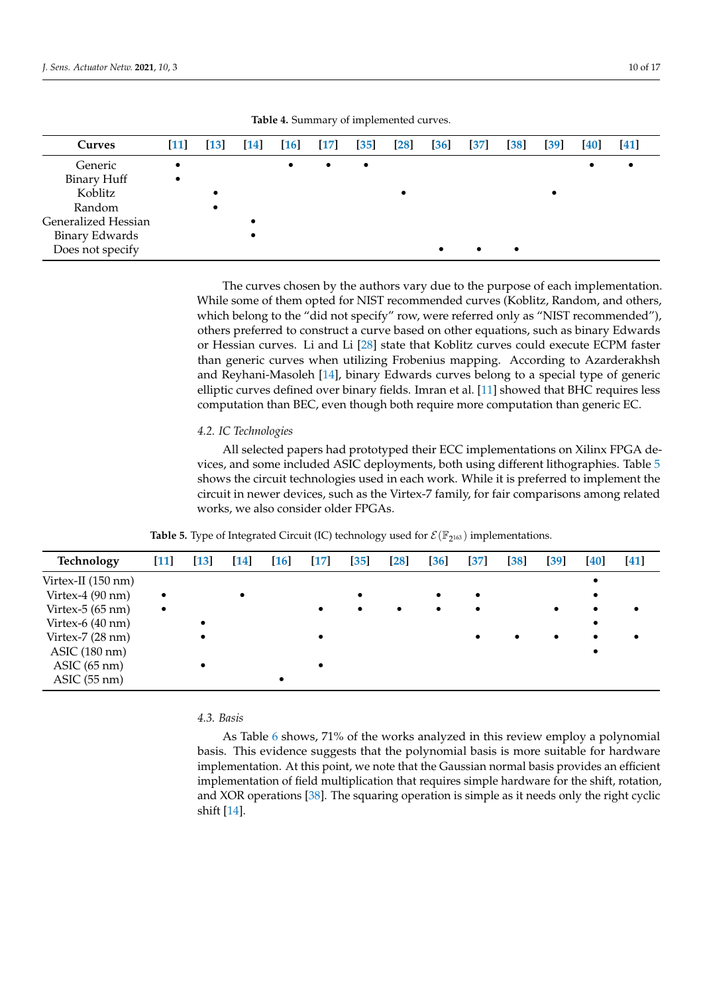<span id="page-9-0"></span>

| <b>Curves</b>       | $\vert 11 \vert$ | [13] | $\left[14\right]$ | $\left[16\right]$ | $[17]$    | $[35]$    | $\left[28\right]$ | $\left[36\right]$ | $[37]$ | $\left[38\right]$ | $\left[39\right]$ | <b>40</b> | $[41]$ |
|---------------------|------------------|------|-------------------|-------------------|-----------|-----------|-------------------|-------------------|--------|-------------------|-------------------|-----------|--------|
| Generic             | $\bullet$        |      |                   | $\bullet$         | $\bullet$ | $\bullet$ |                   |                   |        |                   |                   |           |        |
| Binary Huff         | $\bullet$        |      |                   |                   |           |           |                   |                   |        |                   |                   |           |        |
| Koblitz             |                  |      |                   |                   |           |           |                   |                   |        |                   |                   |           |        |
| Random              |                  |      |                   |                   |           |           |                   |                   |        |                   |                   |           |        |
| Generalized Hessian |                  |      |                   |                   |           |           |                   |                   |        |                   |                   |           |        |
| Binary Edwards      |                  |      |                   |                   |           |           |                   |                   |        |                   |                   |           |        |
| Does not specify    |                  |      |                   |                   |           |           |                   | $\bullet$         |        | ٠                 |                   |           |        |

**Table 4.** Summary of implemented curves.

The curves chosen by the authors vary due to the purpose of each implementation. While some of them opted for NIST recommended curves (Koblitz, Random, and others, which belong to the "did not specify" row, were referred only as "NIST recommended"), others preferred to construct a curve based on other equations, such as binary Edwards or Hessian curves. Li and Li [\[28\]](#page-15-21) state that Koblitz curves could execute ECPM faster than generic curves when utilizing Frobenius mapping. According to Azarderakhsh and Reyhani-Masoleh [\[14\]](#page-15-7), binary Edwards curves belong to a special type of generic elliptic curves defined over binary fields. Imran et al. [\[11\]](#page-15-4) showed that BHC requires less computation than BEC, even though both require more computation than generic EC.

# *4.2. IC Technologies*

All selected papers had prototyped their ECC implementations on Xilinx FPGA devices, and some included ASIC deployments, both using different lithographies. Table [5](#page-9-1) shows the circuit technologies used in each work. While it is preferred to implement the circuit in newer devices, such as the Virtex-7 family, for fair comparisons among related works, we also consider older FPGAs.

| <b>Table 5.</b> Type of Integrated Circuit (IC) technology used for $\mathcal{E}(\mathbb{F}_{2^{163}})$ implementations. |  |
|--------------------------------------------------------------------------------------------------------------------------|--|
|--------------------------------------------------------------------------------------------------------------------------|--|

<span id="page-9-1"></span>

| Technology                 | $[11]$    | $\boxed{13}$ | $[14]$ | 16 | $\vert 17 \vert$ | $[35]$ | $\left[ 28\right]$ | 36 | $[37]$    | $\left[38\right]$ | $\left[39\right]$ | [40] | $[41]$ |
|----------------------------|-----------|--------------|--------|----|------------------|--------|--------------------|----|-----------|-------------------|-------------------|------|--------|
| Virtex-II (150 nm)         |           |              |        |    |                  |        |                    |    |           |                   |                   |      |        |
| Virtex-4 $(90 \text{ nm})$ | $\bullet$ |              |        |    |                  | ٠      |                    |    |           |                   |                   |      |        |
| Virtex- $5(65 \text{ nm})$ | $\bullet$ |              |        |    |                  | ٠      |                    |    |           |                   |                   |      |        |
| Virtex-6 (40 nm)           |           |              |        |    |                  |        |                    |    |           |                   |                   |      |        |
| Virtex- $7(28 \text{ nm})$ |           |              |        |    |                  |        |                    |    | $\bullet$ | $\bullet$         | $\bullet$         |      |        |
| ASIC (180 nm)              |           |              |        |    |                  |        |                    |    |           |                   |                   |      |        |
| $ASIC$ (65 nm)             |           |              |        |    |                  |        |                    |    |           |                   |                   |      |        |
| $ASIC$ (55 nm)             |           |              |        |    |                  |        |                    |    |           |                   |                   |      |        |

#### *4.3. Basis*

As Table [6](#page-10-0) shows, 71% of the works analyzed in this review employ a polynomial basis. This evidence suggests that the polynomial basis is more suitable for hardware implementation. At this point, we note that the Gaussian normal basis provides an efficient implementation of field multiplication that requires simple hardware for the shift, rotation, and XOR operations [\[38\]](#page-16-7). The squaring operation is simple as it needs only the right cyclic shift [\[14\]](#page-15-7).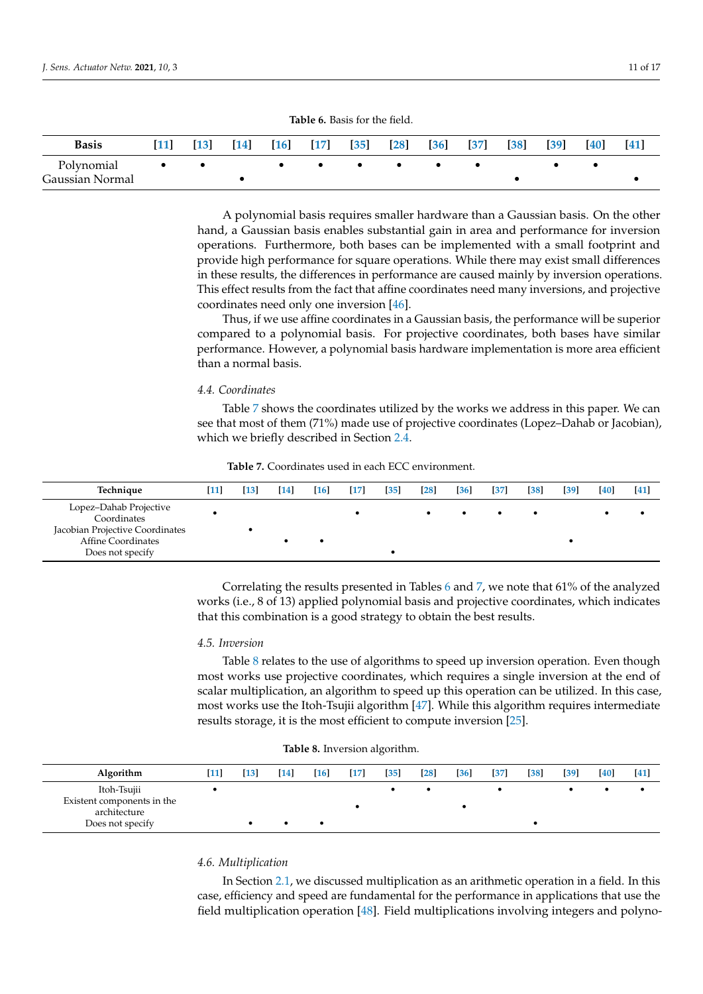<span id="page-10-0"></span>

| <b>Basis</b>    | <b>11</b> | $\vert 13 \vert$ | $\lceil 14 \rceil$ | $[16]$ | $[17]$ | $\left[35\right]$ | $\left[28\right]$ | $\left[36\right]$ | $\left[37\right]$ | [38] | $[39]$ | <b>[40]</b> | 41 |
|-----------------|-----------|------------------|--------------------|--------|--------|-------------------|-------------------|-------------------|-------------------|------|--------|-------------|----|
| Polynomial      | $\bullet$ |                  |                    |        |        |                   |                   |                   |                   |      |        |             |    |
| Gaussian Normal |           |                  |                    |        |        |                   |                   |                   |                   |      |        |             |    |

**Table 6.** Basis for the field.

A polynomial basis requires smaller hardware than a Gaussian basis. On the other hand, a Gaussian basis enables substantial gain in area and performance for inversion operations. Furthermore, both bases can be implemented with a small footprint and provide high performance for square operations. While there may exist small differences in these results, the differences in performance are caused mainly by inversion operations. This effect results from the fact that affine coordinates need many inversions, and projective coordinates need only one inversion [\[46\]](#page-16-10).

Thus, if we use affine coordinates in a Gaussian basis, the performance will be superior compared to a polynomial basis. For projective coordinates, both bases have similar performance. However, a polynomial basis hardware implementation is more area efficient than a normal basis.

#### *4.4. Coordinates*

Table [7](#page-10-1) shows the coordinates utilized by the works we address in this paper. We can see that most of them (71%) made use of projective coordinates (Lopez–Dahab or Jacobian), which we briefly described in Section [2.4.](#page-5-2)

<span id="page-10-1"></span>

| Technique                                                                                                          | [11] | [13] | $[14]$ | [16] | $[17]$ | [35] | $\lceil 28 \rceil$ | [36] | $\sqrt{37}$ | [38] | [39] | [40] | [41] |
|--------------------------------------------------------------------------------------------------------------------|------|------|--------|------|--------|------|--------------------|------|-------------|------|------|------|------|
| Lopez-Dahab Projective<br>Coordinates<br>Jacobian Projective Coordinates<br>Affine Coordinates<br>Does not specify |      |      |        |      |        |      |                    |      | $\bullet$   |      |      |      |      |

**Table 7.** Coordinates used in each ECC environment.

Correlating the results presented in Tables [6](#page-10-0) and [7,](#page-10-1) we note that 61% of the analyzed works (i.e., 8 of 13) applied polynomial basis and projective coordinates, which indicates that this combination is a good strategy to obtain the best results.

# *4.5. Inversion*

Table [8](#page-10-2) relates to the use of algorithms to speed up inversion operation. Even though most works use projective coordinates, which requires a single inversion at the end of scalar multiplication, an algorithm to speed up this operation can be utilized. In this case, most works use the Itoh-Tsujii algorithm [\[47\]](#page-16-11). While this algorithm requires intermediate results storage, it is the most efficient to compute inversion [\[25\]](#page-15-18).

<span id="page-10-2"></span>

| Algorithm                                                                     | [11] | [13] | $[14]$ | [16] | $[17]$ | $[35]$ | $[28]$ | $[36]$ | $\left[37\right]$ | [38] | $\left[39\right]$ | [40] | [41] |
|-------------------------------------------------------------------------------|------|------|--------|------|--------|--------|--------|--------|-------------------|------|-------------------|------|------|
| Itoh-Tsujii<br>Existent components in the<br>architecture<br>Does not specify |      |      |        |      |        |        |        |        |                   |      |                   |      |      |

**Table 8.** Inversion algorithm.

# *4.6. Multiplication*

In Section [2.1,](#page-2-3) we discussed multiplication as an arithmetic operation in a field. In this case, efficiency and speed are fundamental for the performance in applications that use the field multiplication operation [\[48\]](#page-16-12). Field multiplications involving integers and polyno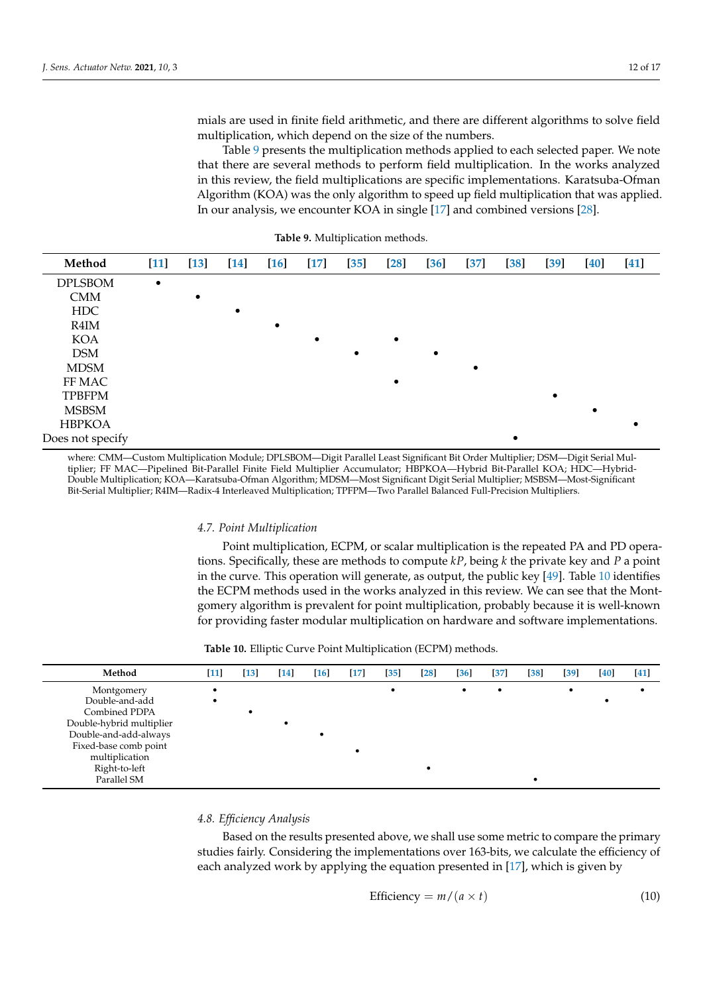mials are used in finite field arithmetic, and there are different algorithms to solve field multiplication, which depend on the size of the numbers.

Table [9](#page-11-0) presents the multiplication methods applied to each selected paper. We note that there are several methods to perform field multiplication. In the works analyzed in this review, the field multiplications are specific implementations. Karatsuba-Ofman Algorithm (KOA) was the only algorithm to speed up field multiplication that was applied. In our analysis, we encounter KOA in single [\[17\]](#page-15-10) and combined versions [\[28\]](#page-15-21).

<span id="page-11-0"></span>

| Method           | $[11]$    | $[13]$ | <b>14</b> | $[16]$ | $[17]$ | $[35]$ | $[28]$ | $\left[36\right]$ | $[37]$ | $\left[38\right]$ | $[39]$ | $[40]$ | $[41]$ |
|------------------|-----------|--------|-----------|--------|--------|--------|--------|-------------------|--------|-------------------|--------|--------|--------|
| <b>DPLSBOM</b>   | $\bullet$ |        |           |        |        |        |        |                   |        |                   |        |        |        |
| <b>CMM</b>       |           |        |           |        |        |        |        |                   |        |                   |        |        |        |
| <b>HDC</b>       |           |        |           |        |        |        |        |                   |        |                   |        |        |        |
| R4IM             |           |        |           |        |        |        |        |                   |        |                   |        |        |        |
| <b>KOA</b>       |           |        |           |        |        |        |        |                   |        |                   |        |        |        |
| <b>DSM</b>       |           |        |           |        |        |        |        |                   |        |                   |        |        |        |
| <b>MDSM</b>      |           |        |           |        |        |        |        |                   |        |                   |        |        |        |
| FF MAC           |           |        |           |        |        |        |        |                   |        |                   |        |        |        |
| <b>TPBFPM</b>    |           |        |           |        |        |        |        |                   |        |                   |        |        |        |
| <b>MSBSM</b>     |           |        |           |        |        |        |        |                   |        |                   |        |        |        |
| <b>HBPKOA</b>    |           |        |           |        |        |        |        |                   |        |                   |        |        |        |
| Does not specify |           |        |           |        |        |        |        |                   |        |                   |        |        |        |

**Table 9.** Multiplication methods.

where: CMM—Custom Multiplication Module; DPLSBOM—Digit Parallel Least Significant Bit Order Multiplier; DSM—Digit Serial Multiplier; FF MAC—Pipelined Bit-Parallel Finite Field Multiplier Accumulator; HBPKOA—Hybrid Bit-Parallel KOA; HDC—Hybrid-Double Multiplication; KOA—Karatsuba-Ofman Algorithm; MDSM—Most Significant Digit Serial Multiplier; MSBSM—Most-Significant Bit-Serial Multiplier; R4IM—Radix-4 Interleaved Multiplication; TPFPM—Two Parallel Balanced Full-Precision Multipliers.

#### *4.7. Point Multiplication*

Point multiplication, ECPM, or scalar multiplication is the repeated PA and PD operations. Specifically, these are methods to compute *kP*, being *k* the private key and *P* a point in the curve. This operation will generate, as output, the public key [\[49\]](#page-16-13). Table [10](#page-11-1) identifies the ECPM methods used in the works analyzed in this review. We can see that the Montgomery algorithm is prevalent for point multiplication, probably because it is well-known for providing faster modular multiplication on hardware and software implementations.

|  |  |  |  |  |  |  | <b>Table 10.</b> Elliptic Curve Point Multiplication (ECPM) methods. |
|--|--|--|--|--|--|--|----------------------------------------------------------------------|
|--|--|--|--|--|--|--|----------------------------------------------------------------------|

<span id="page-11-1"></span>

| Method                   | $[11]$ | $[13]$ | $[14]$ | $[16]$ | $[17]$ | $[35]$ | $\left[28\right]$ | $[36]$ | $[37]$     | $[38]$ | $[39]$ | $[40]$ | $[41]$ |
|--------------------------|--------|--------|--------|--------|--------|--------|-------------------|--------|------------|--------|--------|--------|--------|
| Montgomery               |        |        |        |        |        |        |                   | ٠      | $\epsilon$ |        |        |        |        |
| Double-and-add           |        |        |        |        |        |        |                   |        |            |        |        |        |        |
| Combined PDPA            |        |        |        |        |        |        |                   |        |            |        |        |        |        |
| Double-hybrid multiplier |        |        |        |        |        |        |                   |        |            |        |        |        |        |
| Double-and-add-always    |        |        |        |        |        |        |                   |        |            |        |        |        |        |
| Fixed-base comb point    |        |        |        |        |        |        |                   |        |            |        |        |        |        |
| multiplication           |        |        |        |        |        |        |                   |        |            |        |        |        |        |
| Right-to-left            |        |        |        |        |        |        |                   |        |            |        |        |        |        |
| Parallel SM              |        |        |        |        |        |        |                   |        |            |        |        |        |        |

# *4.8. Efficiency Analysis*

Based on the results presented above, we shall use some metric to compare the primary studies fairly. Considering the implementations over 163-bits, we calculate the efficiency of each analyzed work by applying the equation presented in [\[17\]](#page-15-10), which is given by

<span id="page-11-2"></span>
$$
Efficiency = m/(a \times t)
$$
 (10)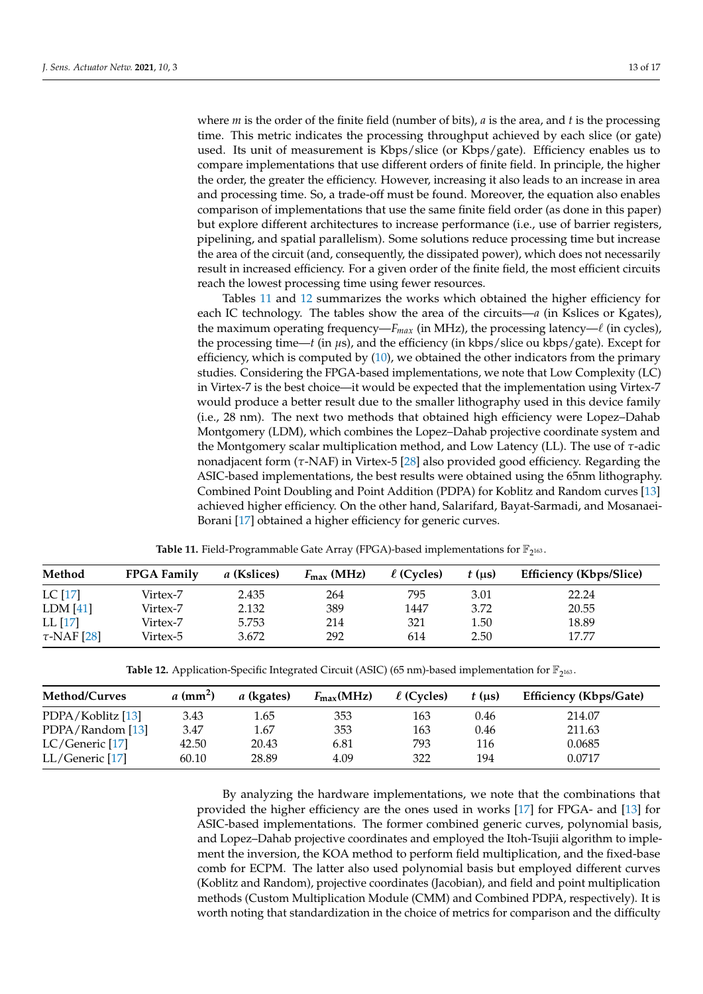where *m* is the order of the finite field (number of bits), *a* is the area, and *t* is the processing time. This metric indicates the processing throughput achieved by each slice (or gate) used. Its unit of measurement is Kbps/slice (or Kbps/gate). Efficiency enables us to compare implementations that use different orders of finite field. In principle, the higher the order, the greater the efficiency. However, increasing it also leads to an increase in area and processing time. So, a trade-off must be found. Moreover, the equation also enables comparison of implementations that use the same finite field order (as done in this paper) but explore different architectures to increase performance (i.e., use of barrier registers, pipelining, and spatial parallelism). Some solutions reduce processing time but increase the area of the circuit (and, consequently, the dissipated power), which does not necessarily result in increased efficiency. For a given order of the finite field, the most efficient circuits reach the lowest processing time using fewer resources.

Tables [11](#page-12-0) and [12](#page-12-1) summarizes the works which obtained the higher efficiency for each IC technology. The tables show the area of the circuits—*a* (in Kslices or Kgates), the maximum operating frequency— $F_{max}$  (in MHz), the processing latency— $\ell$  (in cycles), the processing time—*t* (in *µ*s), and the efficiency (in kbps/slice ou kbps/gate). Except for efficiency, which is computed by [\(10\)](#page-11-2), we obtained the other indicators from the primary studies. Considering the FPGA-based implementations, we note that Low Complexity (LC) in Virtex-7 is the best choice—it would be expected that the implementation using Virtex-7 would produce a better result due to the smaller lithography used in this device family (i.e., 28 nm). The next two methods that obtained high efficiency were Lopez–Dahab Montgomery (LDM), which combines the Lopez–Dahab projective coordinate system and the Montgomery scalar multiplication method, and Low Latency (LL). The use of *τ*-adic nonadjacent form (*τ*-NAF) in Virtex-5 [\[28\]](#page-15-21) also provided good efficiency. Regarding the ASIC-based implementations, the best results were obtained using the 65nm lithography. Combined Point Doubling and Point Addition (PDPA) for Koblitz and Random curves [\[13\]](#page-15-6) achieved higher efficiency. On the other hand, Salarifard, Bayat-Sarmadi, and Mosanaei-Borani [\[17\]](#page-15-10) obtained a higher efficiency for generic curves.

<span id="page-12-0"></span>

| Method           | <b>FPGA Family</b> | a (Kslices) | $F_{\text{max}}$ (MHz) | $\ell$ (Cycles) | $t$ (us) | <b>Efficiency (Kbps/Slice)</b> |
|------------------|--------------------|-------------|------------------------|-----------------|----------|--------------------------------|
| LC [17]          | Virtex-7           | 2.435       | 264                    | 795             | 3.01     | 22.24                          |
| LDM [41]         | Virtex-7           | 2.132       | 389                    | 1447            | 3.72     | 20.55                          |
| LL [17]          | Virtex-7           | 5.753       | 214                    | 321             | 1.50     | 18.89                          |
| $\tau$ -NAF [28] | Virtex-5           | 3.672       | 292                    | 614             | 2.50     | 17.77                          |

**Table 11.** Field-Programmable Gate Array (FPGA)-based implementations for  $\mathbb{F}_{2^{163}}$ .

**Table 12.** Application-Specific Integrated Circuit (ASIC) (65 nm)-based implementation for  $\mathbb{F}_{2^{163}}$ .

<span id="page-12-1"></span>

| Method/Curves     | $a$ (mm <sup>2</sup> ) | a (kgates) | $F_{\text{max}}(\text{MHz})$ | $\ell$ (Cycles) | $t$ (us) | <b>Efficiency (Kbps/Gate)</b> |
|-------------------|------------------------|------------|------------------------------|-----------------|----------|-------------------------------|
| PDPA/Koblitz [13] | 3.43                   | 1.65       | 353                          | 163             | 0.46     | 214.07                        |
| PDPA/Random [13]  | 3.47                   | 1.67       | 353                          | 163             | 0.46     | 211.63                        |
| LC/Generic [17]   | 42.50                  | 20.43      | 6.81                         | 793             | 116      | 0.0685                        |
| LL/Generic [17]   | 60.10                  | 28.89      | 4.09                         | 322             | 194      | 0.0717                        |

By analyzing the hardware implementations, we note that the combinations that provided the higher efficiency are the ones used in works [\[17\]](#page-15-10) for FPGA- and [\[13\]](#page-15-6) for ASIC-based implementations. The former combined generic curves, polynomial basis, and Lopez–Dahab projective coordinates and employed the Itoh-Tsujii algorithm to implement the inversion, the KOA method to perform field multiplication, and the fixed-base comb for ECPM. The latter also used polynomial basis but employed different curves (Koblitz and Random), projective coordinates (Jacobian), and field and point multiplication methods (Custom Multiplication Module (CMM) and Combined PDPA, respectively). It is worth noting that standardization in the choice of metrics for comparison and the difficulty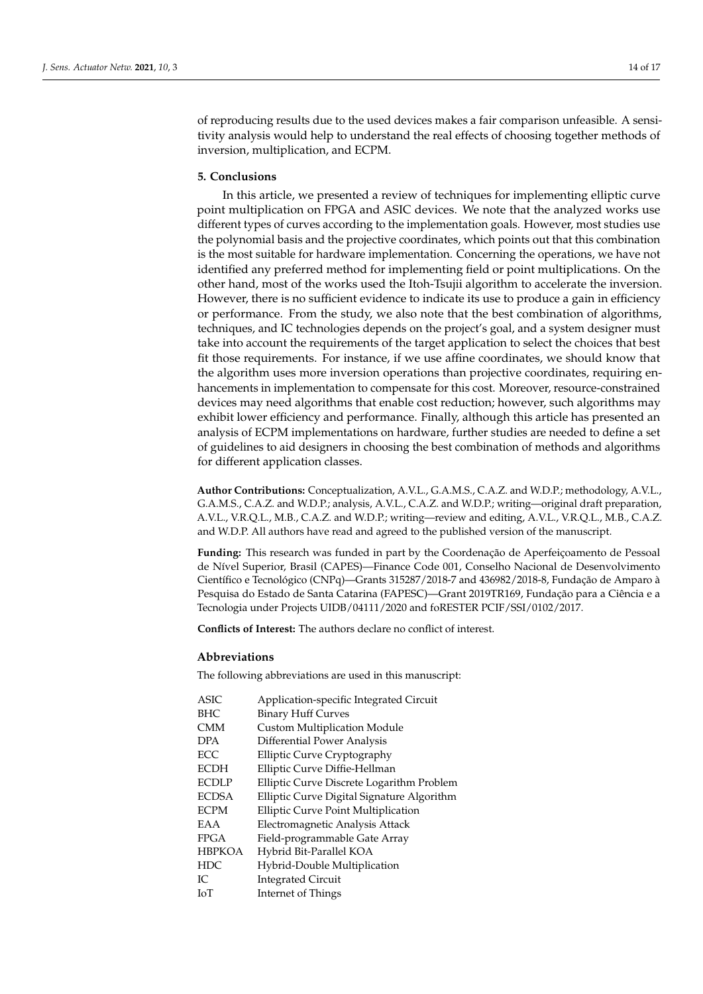of reproducing results due to the used devices makes a fair comparison unfeasible. A sensitivity analysis would help to understand the real effects of choosing together methods of inversion, multiplication, and ECPM.

# <span id="page-13-0"></span>**5. Conclusions**

In this article, we presented a review of techniques for implementing elliptic curve point multiplication on FPGA and ASIC devices. We note that the analyzed works use different types of curves according to the implementation goals. However, most studies use the polynomial basis and the projective coordinates, which points out that this combination is the most suitable for hardware implementation. Concerning the operations, we have not identified any preferred method for implementing field or point multiplications. On the other hand, most of the works used the Itoh-Tsujii algorithm to accelerate the inversion. However, there is no sufficient evidence to indicate its use to produce a gain in efficiency or performance. From the study, we also note that the best combination of algorithms, techniques, and IC technologies depends on the project's goal, and a system designer must take into account the requirements of the target application to select the choices that best fit those requirements. For instance, if we use affine coordinates, we should know that the algorithm uses more inversion operations than projective coordinates, requiring enhancements in implementation to compensate for this cost. Moreover, resource-constrained devices may need algorithms that enable cost reduction; however, such algorithms may exhibit lower efficiency and performance. Finally, although this article has presented an analysis of ECPM implementations on hardware, further studies are needed to define a set of guidelines to aid designers in choosing the best combination of methods and algorithms for different application classes.

**Author Contributions:** Conceptualization, A.V.L., G.A.M.S., C.A.Z. and W.D.P.; methodology, A.V.L., G.A.M.S., C.A.Z. and W.D.P.; analysis, A.V.L., C.A.Z. and W.D.P.; writing—original draft preparation, A.V.L., V.R.Q.L., M.B., C.A.Z. and W.D.P.; writing—review and editing, A.V.L., V.R.Q.L., M.B., C.A.Z. and W.D.P. All authors have read and agreed to the published version of the manuscript.

**Funding:** This research was funded in part by the Coordenação de Aperfeiçoamento de Pessoal de Nível Superior, Brasil (CAPES)—Finance Code 001, Conselho Nacional de Desenvolvimento Científico e Tecnológico (CNPq)—Grants 315287/2018-7 and 436982/2018-8, Fundação de Amparo à Pesquisa do Estado de Santa Catarina (FAPESC)—Grant 2019TR169, Fundação para a Ciência e a Tecnologia under Projects UIDB/04111/2020 and foRESTER PCIF/SSI/0102/2017.

**Conflicts of Interest:** The authors declare no conflict of interest.

## **Abbreviations**

The following abbreviations are used in this manuscript:

| <b>ASIC</b>   | Application-specific Integrated Circuit    |
|---------------|--------------------------------------------|
| <b>BHC</b>    | <b>Binary Huff Curves</b>                  |
| <b>CMM</b>    | <b>Custom Multiplication Module</b>        |
| <b>DPA</b>    | Differential Power Analysis                |
| <b>ECC</b>    | Elliptic Curve Cryptography                |
| <b>ECDH</b>   | Elliptic Curve Diffie-Hellman              |
| <b>ECDLP</b>  | Elliptic Curve Discrete Logarithm Problem  |
| <b>ECDSA</b>  | Elliptic Curve Digital Signature Algorithm |
| <b>ECPM</b>   | Elliptic Curve Point Multiplication        |
| EAA           | Electromagnetic Analysis Attack            |
| <b>FPGA</b>   | Field-programmable Gate Array              |
| <b>HBPKOA</b> | Hybrid Bit-Parallel KOA                    |
| <b>HDC</b>    | Hybrid-Double Multiplication               |
| IC.           | <b>Integrated Circuit</b>                  |
| IоT           | Internet of Things                         |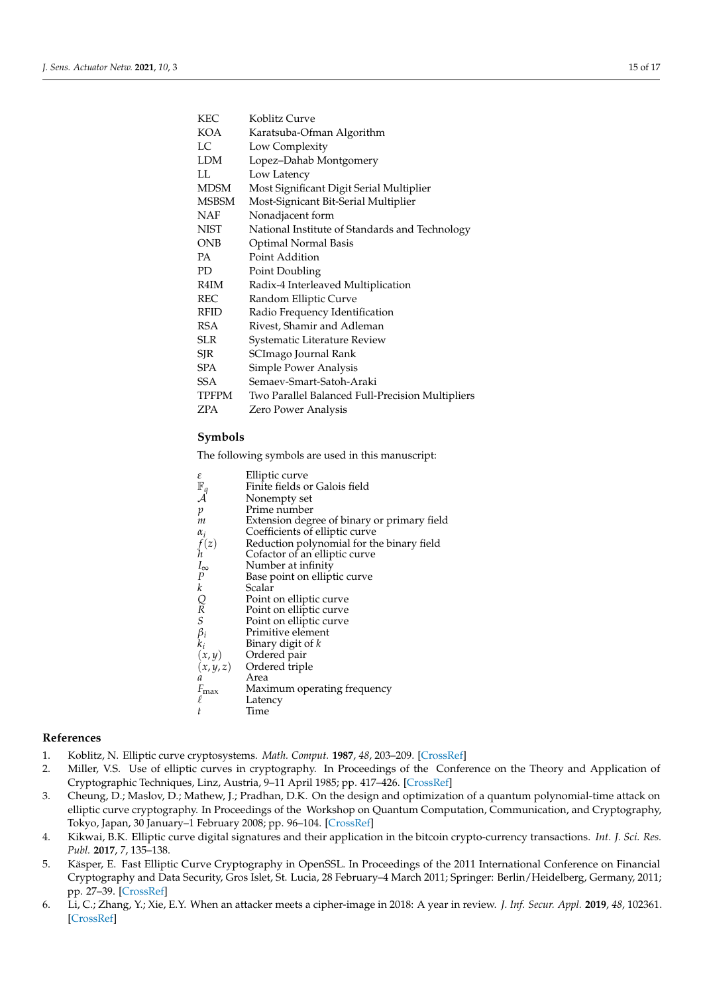| KEC          | Koblitz Curve                                    |
|--------------|--------------------------------------------------|
| KOA          | Karatsuba-Ofman Algorithm                        |
| LC           | Low Complexity                                   |
| <b>LDM</b>   | Lopez-Dahab Montgomery                           |
| LL           | Low Latency                                      |
| <b>MDSM</b>  | Most Significant Digit Serial Multiplier         |
| <b>MSBSM</b> | Most-Signicant Bit-Serial Multiplier             |
| NAF          | Nonadjacent form                                 |
| <b>NIST</b>  | National Institute of Standards and Technology   |
| <b>ONB</b>   | Optimal Normal Basis                             |
| PA.          | Point Addition                                   |
| PD           | Point Doubling                                   |
| R4IM         | Radix-4 Interleaved Multiplication               |
| REC          | Random Elliptic Curve                            |
| RFID         | Radio Frequency Identification                   |
| RSA          | Rivest, Shamir and Adleman                       |
| SLR.         | Systematic Literature Review                     |
| SJR          | SCImago Journal Rank                             |
| SPA          | Simple Power Analysis                            |
| <b>SSA</b>   | Semaev-Smart-Satoh-Araki                         |
| TPFPM        | Two Parallel Balanced Full-Precision Multipliers |
| ZPA          | Zero Power Analysis                              |

# **Symbols**

The following symbols are used in this manuscript:

| ε                  | Elliptic curve                                                                                                           |
|--------------------|--------------------------------------------------------------------------------------------------------------------------|
| $\mathbb{F}_q$     | Finite fields or Galois field                                                                                            |
| $\mathcal A$       | Nonempty set                                                                                                             |
| $\mathfrak{p}$     | Prime number                                                                                                             |
| m                  | Extension degree of binary or primary field                                                                              |
| $\alpha_i$         | Coefficients of elliptic curve                                                                                           |
|                    | Reduction polynomial for the binary field                                                                                |
| $f(z)$<br>h        | Cofactor of an elliptic curve                                                                                            |
|                    | Number at infinity                                                                                                       |
| $I_\infty$ $P$     | Base point on elliptic curve                                                                                             |
| k                  | Scalar                                                                                                                   |
|                    | Point on elliptic curve                                                                                                  |
|                    | Point on elliptic curve                                                                                                  |
| $\underset{S}{Q}$  | Point on elliptic curve                                                                                                  |
|                    | Primitive element                                                                                                        |
|                    | $\beta_i$ Primitive elements $k_i$ Binary digit of $(x, y)$ Ordered pair $(x, y, z)$ Ordered triple<br>Binary digit of k |
|                    |                                                                                                                          |
|                    |                                                                                                                          |
| a                  | Area                                                                                                                     |
|                    | Maximum operating frequency                                                                                              |
| $F_{\rm max}$<br>ℓ |                                                                                                                          |
|                    | Latency                                                                                                                  |
| t                  | Time                                                                                                                     |

#### **References**

- <span id="page-14-0"></span>1. Koblitz, N. Elliptic curve cryptosystems. *Math. Comput.* **1987**, *48*, 203–209. [\[CrossRef\]](http://dx.doi.org/10.1090/S0025-5718-1987-0866109-5)
- <span id="page-14-1"></span>2. Miller, V.S. Use of elliptic curves in cryptography. In Proceedings of the Conference on the Theory and Application of Cryptographic Techniques, Linz, Austria, 9–11 April 1985; pp. 417–426. [\[CrossRef\]](http://dx.doi.org/10.1007/3-540-39799-X_31)
- <span id="page-14-2"></span>3. Cheung, D.; Maslov, D.; Mathew, J.; Pradhan, D.K. On the design and optimization of a quantum polynomial-time attack on elliptic curve cryptography. In Proceedings of the Workshop on Quantum Computation, Communication, and Cryptography, Tokyo, Japan, 30 January–1 February 2008; pp. 96–104. [\[CrossRef\]](http://dx.doi.org/10.1007/978-3-540-89304-2_9)
- <span id="page-14-3"></span>4. Kikwai, B.K. Elliptic curve digital signatures and their application in the bitcoin crypto-currency transactions. *Int. J. Sci. Res. Publ.* **2017**, *7*, 135–138.
- <span id="page-14-4"></span>5. Käsper, E. Fast Elliptic Curve Cryptography in OpenSSL. In Proceedings of the 2011 International Conference on Financial Cryptography and Data Security, Gros Islet, St. Lucia, 28 February–4 March 2011; Springer: Berlin/Heidelberg, Germany, 2011; pp. 27–39. [\[CrossRef\]](http://dx.doi.org/10.1007/978-3-642-29889-9_4)
- <span id="page-14-5"></span>6. Li, C.; Zhang, Y.; Xie, E.Y. When an attacker meets a cipher-image in 2018: A year in review. *J. Inf. Secur. Appl.* **2019**, *48*, 102361. [\[CrossRef\]](http://dx.doi.org/10.1016/j.jisa.2019.102361)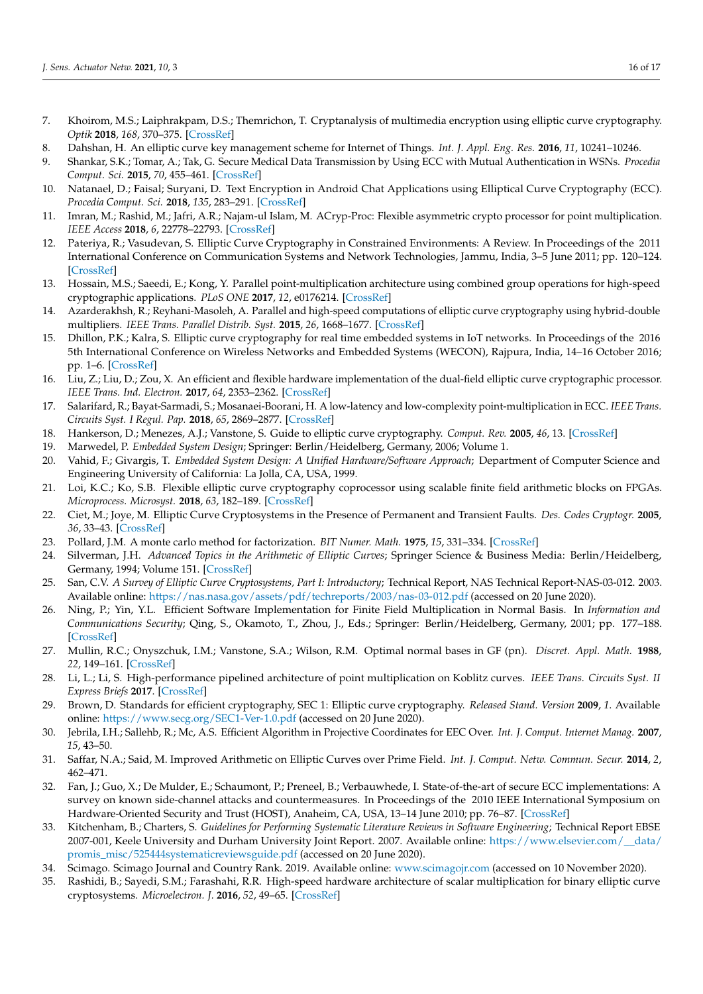- <span id="page-15-0"></span>7. Khoirom, M.S.; Laiphrakpam, D.S.; Themrichon, T. Cryptanalysis of multimedia encryption using elliptic curve cryptography. *Optik* **2018**, *168*, 370–375. [\[CrossRef\]](http://dx.doi.org/10.1016/j.ijleo.2018.04.068)
- <span id="page-15-1"></span>8. Dahshan, H. An elliptic curve key management scheme for Internet of Things. *Int. J. Appl. Eng. Res.* **2016**, *11*, 10241–10246.
- <span id="page-15-2"></span>9. Shankar, S.K.; Tomar, A.; Tak, G. Secure Medical Data Transmission by Using ECC with Mutual Authentication in WSNs. *Procedia Comput. Sci.* **2015**, *70*, 455–461. [\[CrossRef\]](http://dx.doi.org/10.1016/j.procs.2015.10.078)
- <span id="page-15-3"></span>10. Natanael, D.; Faisal; Suryani, D. Text Encryption in Android Chat Applications using Elliptical Curve Cryptography (ECC). *Procedia Comput. Sci.* **2018**, *135*, 283–291. [\[CrossRef\]](http://dx.doi.org/10.1016/j.procs.2018.08.176)
- <span id="page-15-4"></span>11. Imran, M.; Rashid, M.; Jafri, A.R.; Najam-ul Islam, M. ACryp-Proc: Flexible asymmetric crypto processor for point multiplication. *IEEE Access* **2018**, *6*, 22778–22793. [\[CrossRef\]](http://dx.doi.org/10.1109/ACCESS.2018.2828319)
- <span id="page-15-5"></span>12. Pateriya, R.; Vasudevan, S. Elliptic Curve Cryptography in Constrained Environments: A Review. In Proceedings of the 2011 International Conference on Communication Systems and Network Technologies, Jammu, India, 3–5 June 2011; pp. 120–124. [\[CrossRef\]](http://dx.doi.org/10.1109/CSNT.2011.32)
- <span id="page-15-6"></span>13. Hossain, M.S.; Saeedi, E.; Kong, Y. Parallel point-multiplication architecture using combined group operations for high-speed cryptographic applications. *PLoS ONE* **2017**, *12*, e0176214. [\[CrossRef\]](http://dx.doi.org/10.1371/journal.pone.0176214)
- <span id="page-15-7"></span>14. Azarderakhsh, R.; Reyhani-Masoleh, A. Parallel and high-speed computations of elliptic curve cryptography using hybrid-double multipliers. *IEEE Trans. Parallel Distrib. Syst.* **2015**, *26*, 1668–1677. [\[CrossRef\]](http://dx.doi.org/10.1109/TPDS.2014.2323062)
- <span id="page-15-8"></span>15. Dhillon, P.K.; Kalra, S. Elliptic curve cryptography for real time embedded systems in IoT networks. In Proceedings of the 2016 5th International Conference on Wireless Networks and Embedded Systems (WECON), Rajpura, India, 14–16 October 2016; pp. 1–6. [\[CrossRef\]](http://dx.doi.org/10.1109/WECON.2016.7993462)
- <span id="page-15-9"></span>16. Liu, Z.; Liu, D.; Zou, X. An efficient and flexible hardware implementation of the dual-field elliptic curve cryptographic processor. *IEEE Trans. Ind. Electron.* **2017**, *64*, 2353–2362. [\[CrossRef\]](http://dx.doi.org/10.1109/TIE.2016.2625241)
- <span id="page-15-10"></span>17. Salarifard, R.; Bayat-Sarmadi, S.; Mosanaei-Boorani, H. A low-latency and low-complexity point-multiplication in ECC. *IEEE Trans. Circuits Syst. I Regul. Pap.* **2018**, *65*, 2869–2877. [\[CrossRef\]](http://dx.doi.org/10.1109/TCSI.2018.2801118)
- <span id="page-15-11"></span>18. Hankerson, D.; Menezes, A.J.; Vanstone, S. Guide to elliptic curve cryptography. *Comput. Rev.* **2005**, *46*, 13. [\[CrossRef\]](http://dx.doi.org/10.1007/978-1-4419-5906-5_245)
- <span id="page-15-12"></span>19. Marwedel, P. *Embedded System Design*; Springer: Berlin/Heidelberg, Germany, 2006; Volume 1.
- <span id="page-15-13"></span>20. Vahid, F.; Givargis, T. *Embedded System Design: A Unified Hardware/Software Approach*; Department of Computer Science and Engineering University of California: La Jolla, CA, USA, 1999.
- <span id="page-15-14"></span>21. Loi, K.C.; Ko, S.B. Flexible elliptic curve cryptography coprocessor using scalable finite field arithmetic blocks on FPGAs. *Microprocess. Microsyst.* **2018**, *63*, 182–189. [\[CrossRef\]](http://dx.doi.org/10.1016/j.micpro.2018.09.003)
- <span id="page-15-15"></span>22. Ciet, M.; Joye, M. Elliptic Curve Cryptosystems in the Presence of Permanent and Transient Faults. *Des. Codes Cryptogr.* **2005**, *36*, 33–43. [\[CrossRef\]](http://dx.doi.org/10.1007/s10623-003-1160-8)
- <span id="page-15-16"></span>23. Pollard, J.M. A monte carlo method for factorization. *BIT Numer. Math.* **1975**, *15*, 331–334. [\[CrossRef\]](http://dx.doi.org/10.1007/BF01933667)
- <span id="page-15-17"></span>24. Silverman, J.H. *Advanced Topics in the Arithmetic of Elliptic Curves*; Springer Science & Business Media: Berlin/Heidelberg, Germany, 1994; Volume 151. [\[CrossRef\]](http://dx.doi.org/10.1007/978-1-4612-0851-8)
- <span id="page-15-18"></span>25. San, C.V. *A Survey of Elliptic Curve Cryptosystems, Part I: Introductory*; Technical Report, NAS Technical Report-NAS-03-012. 2003. Available online: <https://nas.nasa.gov/assets/pdf/techreports/2003/nas-03-012.pdf> (accessed on 20 June 2020).
- <span id="page-15-19"></span>26. Ning, P.; Yin, Y.L. Efficient Software Implementation for Finite Field Multiplication in Normal Basis. In *Information and Communications Security*; Qing, S., Okamoto, T., Zhou, J., Eds.; Springer: Berlin/Heidelberg, Germany, 2001; pp. 177–188. [\[CrossRef\]](http://dx.doi.org/10.1007/3-540-45600-7_21)
- <span id="page-15-20"></span>27. Mullin, R.C.; Onyszchuk, I.M.; Vanstone, S.A.; Wilson, R.M. Optimal normal bases in GF (pn). *Discret. Appl. Math.* **1988**, *22*, 149–161. [\[CrossRef\]](http://dx.doi.org/10.1016/0166-218X(88)90090-X)
- <span id="page-15-21"></span>28. Li, L.; Li, S. High-performance pipelined architecture of point multiplication on Koblitz curves. *IEEE Trans. Circuits Syst. II Express Briefs* **2017**. [\[CrossRef\]](http://dx.doi.org/10.1109/TCSII.2017.2785382)
- <span id="page-15-22"></span>29. Brown, D. Standards for efficient cryptography, SEC 1: Elliptic curve cryptography. *Released Stand. Version* **2009**, *1*. Available online: <https://www.secg.org/SEC1-Ver-1.0.pdf> (accessed on 20 June 2020).
- <span id="page-15-23"></span>30. Jebrila, I.H.; Sallehb, R.; Mc, A.S. Efficient Algorithm in Projective Coordinates for EEC Over. *Int. J. Comput. Internet Manag.* **2007**, *15*, 43–50.
- <span id="page-15-24"></span>31. Saffar, N.A.; Said, M. Improved Arithmetic on Elliptic Curves over Prime Field. *Int. J. Comput. Netw. Commun. Secur.* **2014**, *2*, 462–471.
- <span id="page-15-25"></span>32. Fan, J.; Guo, X.; De Mulder, E.; Schaumont, P.; Preneel, B.; Verbauwhede, I. State-of-the-art of secure ECC implementations: A survey on known side-channel attacks and countermeasures. In Proceedings of the 2010 IEEE International Symposium on Hardware-Oriented Security and Trust (HOST), Anaheim, CA, USA, 13–14 June 2010; pp. 76–87. [\[CrossRef\]](http://dx.doi.org/10.1109/HST.2010.5513110)
- <span id="page-15-26"></span>33. Kitchenham, B.; Charters, S. *Guidelines for Performing Systematic Literature Reviews in Software Engineering*; Technical Report EBSE 2007-001, Keele University and Durham University Joint Report. 2007. Available online: [https://www.elsevier.com/\\_\\_data/](https://www.elsevier.com/__data/promis_misc/525444systematicreviewsguide.pdf) [promis\\_misc/525444systematicreviewsguide.pdf](https://www.elsevier.com/__data/promis_misc/525444systematicreviewsguide.pdf) (accessed on 20 June 2020).
- <span id="page-15-27"></span>34. Scimago. Scimago Journal and Country Rank. 2019. Available online: <www.scimagojr.com> (accessed on 10 November 2020).
- <span id="page-15-28"></span>35. Rashidi, B.; Sayedi, S.M.; Farashahi, R.R. High-speed hardware architecture of scalar multiplication for binary elliptic curve cryptosystems. *Microelectron. J.* **2016**, *52*, 49–65. [\[CrossRef\]](http://dx.doi.org/10.1016/j.mejo.2016.03.006)